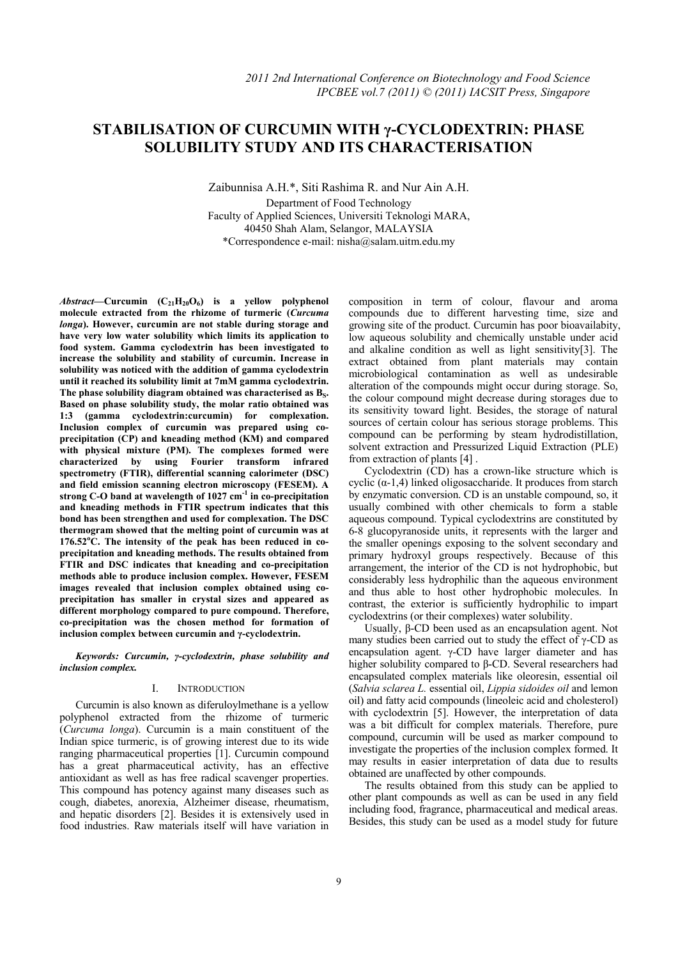# **STABILISATION OF CURCUMIN WITH γ-CYCLODEXTRIN: PHASE**   **SOLUBILITY STUDY AND ITS CHARACTERISATION**

Zaibunnisa A.H.\*, Siti Rashima R. and Nur Ain A.H. Department of Food Technology Faculty of Applied Sciences, Universiti Teknologi MARA, 40450 Shah Alam, Selangor, MALAYSIA \*Correspondence e-mail: nisha@salam.uitm.edu.my

Abstract—Curcumin (C<sub>21</sub>H<sub>20</sub>O<sub>6</sub>) is a yellow polyphenol **molecule extracted from the rhizome of turmeric (***Curcuma longa***). However, curcumin are not stable during storage and have very low water solubility which limits its application to food system. Gamma cyclodextrin has been investigated to increase the solubility and stability of curcumin. Increase in solubility was noticed with the addition of gamma cyclodextrin until it reached its solubility limit at 7mM gamma cyclodextrin.**  The phase solubility diagram obtained was characterised as B<sub>S</sub>. **Based on phase solubility study, the molar ratio obtained was 1:3 (gamma cyclodextrin:curcumin) for complexation. Inclusion complex of curcumin was prepared using coprecipitation (CP) and kneading method (KM) and compared with physical mixture (PM). The complexes formed were characterized by using Fourier transform infrared spectrometry (FTIR), differential scanning calorimeter (DSC) and field emission scanning electron microscopy (FESEM). A strong C-O band at wavelength of 1027 cm-1 in co-precipitation and kneading methods in FTIR spectrum indicates that this bond has been strengthen and used for complexation. The DSC thermogram showed that the melting point of curcumin was at 176.52<sup>o</sup> C. The intensity of the peak has been reduced in coprecipitation and kneading methods. The results obtained from FTIR and DSC indicates that kneading and co-precipitation methods able to produce inclusion complex. However, FESEM images revealed that inclusion complex obtained using coprecipitation has smaller in crystal sizes and appeared as different morphology compared to pure compound. Therefore, co-precipitation was the chosen method for formation of inclusion complex between curcumin and γ-cyclodextrin.** 

## *Keywords: Curcumin, γ-cyclodextrin, phase solubility and inclusion complex.*

# I. INTRODUCTION

Curcumin is also known as diferuloylmethane is a yellow polyphenol extracted from the rhizome of turmeric (*Curcuma longa*). Curcumin is a main constituent of the Indian spice turmeric, is of growing interest due to its wide ranging pharmaceutical properties [1]. Curcumin compound has a great pharmaceutical activity, has an effective antioxidant as well as has free radical scavenger properties. This compound has potency against many diseases such as cough, diabetes, anorexia, Alzheimer disease, rheumatism, and hepatic disorders [2]. Besides it is extensively used in food industries. Raw materials itself will have variation in composition in term of colour, flavour and aroma compounds due to different harvesting time, size and growing site of the product. Curcumin has poor bioavailabity, low aqueous solubility and chemically unstable under acid and alkaline condition as well as light sensitivity[3]. The extract obtained from plant materials may contain microbiological contamination as well as undesirable alteration of the compounds might occur during storage. So, the colour compound might decrease during storages due to its sensitivity toward light. Besides, the storage of natural sources of certain colour has serious storage problems. This compound can be performing by steam hydrodistillation, solvent extraction and Pressurized Liquid Extraction (PLE) from extraction of plants [4] .

Cyclodextrin (CD) has a crown-like structure which is cyclic  $(\alpha-1,4)$  linked oligosaccharide. It produces from starch by enzymatic conversion. CD is an unstable compound, so, it usually combined with other chemicals to form a stable aqueous compound. Typical cyclodextrins are constituted by 6-8 glucopyranoside units, it represents with the larger and the smaller openings exposing to the solvent secondary and primary hydroxyl groups respectively. Because of this arrangement, the interior of the CD is not hydrophobic, but considerably less hydrophilic than the aqueous environment and thus able to host other hydrophobic molecules. In contrast, the exterior is sufficiently hydrophilic to impart cyclodextrins (or their complexes) water solubility.

Usually, β-CD been used as an encapsulation agent. Not many studies been carried out to study the effect of  $\gamma$ -CD as encapsulation agent. γ-CD have larger diameter and has higher solubility compared to β-CD. Several researchers had encapsulated complex materials like oleoresin, essential oil (*Salvia sclarea L.* essential oil, *Lippia sidoides oil* and lemon oil) and fatty acid compounds (lineoleic acid and cholesterol) with cyclodextrin [5]. However, the interpretation of data was a bit difficult for complex materials. Therefore, pure compound, curcumin will be used as marker compound to investigate the properties of the inclusion complex formed. It may results in easier interpretation of data due to results obtained are unaffected by other compounds.

The results obtained from this study can be applied to other plant compounds as well as can be used in any field including food, fragrance, pharmaceutical and medical areas. Besides, this study can be used as a model study for future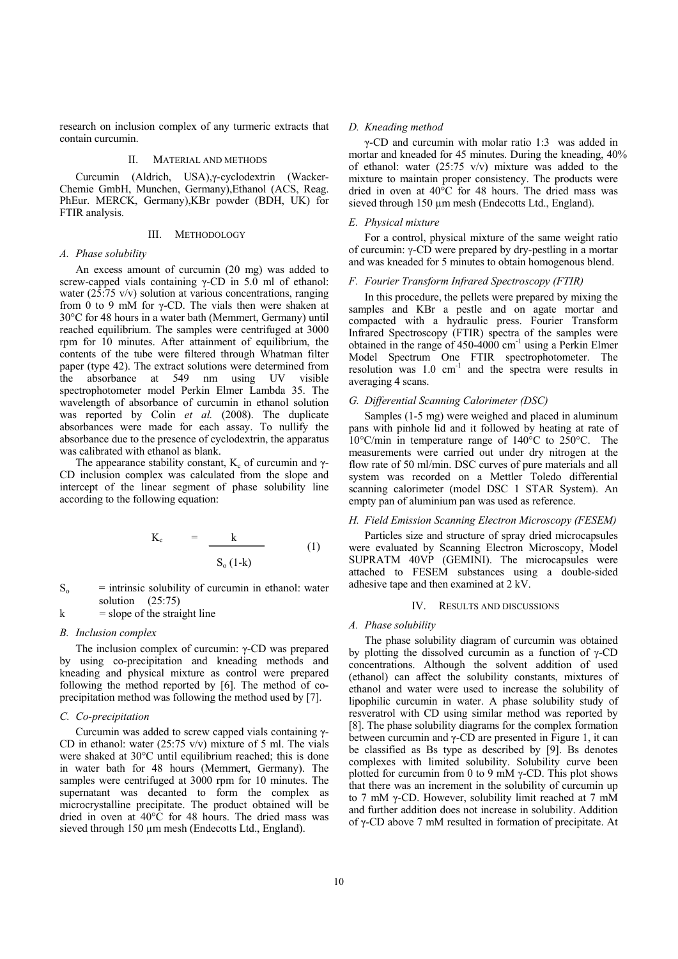research on inclusion complex of any turmeric extracts that contain curcumin.

## II. MATERIAL AND METHODS

Curcumin (Aldrich, USA),γ-cyclodextrin (Wacker-Chemie GmbH, Munchen, Germany),Ethanol (ACS, Reag. PhEur. MERCK, Germany),KBr powder (BDH, UK) for FTIR analysis.

# III. METHODOLOGY

## *A. Phase solubility*

An excess amount of curcumin (20 mg) was added to screw-capped vials containing  $\gamma$ -CD in 5.0 ml of ethanol: water (25:75 v/v) solution at various concentrations, ranging from 0 to 9 mM for  $\gamma$ -CD. The vials then were shaken at 30°C for 48 hours in a water bath (Memmert, Germany) until reached equilibrium. The samples were centrifuged at 3000 rpm for 10 minutes. After attainment of equilibrium, the contents of the tube were filtered through Whatman filter paper (type 42). The extract solutions were determined from the absorbance at 549 nm using UV visible spectrophotometer model Perkin Elmer Lambda 35. The wavelength of absorbance of curcumin in ethanol solution was reported by Colin *et al.* (2008). The duplicate absorbances were made for each assay. To nullify the absorbance due to the presence of cyclodextrin, the apparatus was calibrated with ethanol as blank.

The appearance stability constant,  $K_c$  of curcumin and  $\gamma$ -CD inclusion complex was calculated from the slope and intercept of the linear segment of phase solubility line according to the following equation:

$$
K_c = \frac{k}{S_o (1-k)} \tag{1}
$$

- $S_0$  = intrinsic solubility of curcumin in ethanol: water solution (25:75)
- $k = slope of the straight line$

## *B. Inclusion complex*

The inclusion complex of curcumin: γ-CD was prepared by using co-precipitation and kneading methods and kneading and physical mixture as control were prepared following the method reported by [6]. The method of coprecipitation method was following the method used by [7].

## *C. Co-precipitation*

Curcumin was added to screw capped vials containing γ-CD in ethanol: water (25:75 v/v) mixture of 5 ml. The vials were shaked at 30°C until equilibrium reached; this is done in water bath for 48 hours (Memmert, Germany). The samples were centrifuged at 3000 rpm for 10 minutes. The supernatant was decanted to form the complex as microcrystalline precipitate. The product obtained will be dried in oven at 40°C for 48 hours. The dried mass was sieved through 150 µm mesh (Endecotts Ltd., England).

#### *D. Kneading method*

γ-CD and curcumin with molar ratio 1:3 was added in mortar and kneaded for 45 minutes. During the kneading, 40% of ethanol: water (25:75 v/v) mixture was added to the mixture to maintain proper consistency. The products were dried in oven at 40°C for 48 hours. The dried mass was sieved through 150 µm mesh (Endecotts Ltd., England).

#### *E. Physical mixture*

For a control, physical mixture of the same weight ratio of curcumin: γ-CD were prepared by dry-pestling in a mortar and was kneaded for 5 minutes to obtain homogenous blend.

# *F. Fourier Transform Infrared Spectroscopy (FTIR)*

In this procedure, the pellets were prepared by mixing the samples and KBr a pestle and on agate mortar and compacted with a hydraulic press. Fourier Transform Infrared Spectroscopy (FTIR) spectra of the samples were obtained in the range of 450-4000 cm-1 using a Perkin Elmer Model Spectrum One FTIR spectrophotometer. The resolution was  $1.0 \text{ cm}^{-1}$  and the spectra were results in averaging 4 scans.

#### *G. Differential Scanning Calorimeter (DSC)*

Samples (1-5 mg) were weighed and placed in aluminum pans with pinhole lid and it followed by heating at rate of 10°C/min in temperature range of 140°C to 250°C. The measurements were carried out under dry nitrogen at the flow rate of 50 ml/min. DSC curves of pure materials and all system was recorded on a Mettler Toledo differential scanning calorimeter (model DSC 1 STAR System). An empty pan of aluminium pan was used as reference.

## *H. Field Emission Scanning Electron Microscopy (FESEM)*

Particles size and structure of spray dried microcapsules were evaluated by Scanning Electron Microscopy, Model SUPRATM 40VP (GEMINI). The microcapsules were attached to FESEM substances using a double-sided adhesive tape and then examined at 2 kV.

#### IV. RESULTS AND DISCUSSIONS

### *A. Phase solubility*

The phase solubility diagram of curcumin was obtained by plotting the dissolved curcumin as a function of γ-CD concentrations. Although the solvent addition of used (ethanol) can affect the solubility constants, mixtures of ethanol and water were used to increase the solubility of lipophilic curcumin in water. A phase solubility study of resveratrol with CD using similar method was reported by [8]. The phase solubility diagrams for the complex formation between curcumin and γ-CD are presented in Figure 1, it can be classified as Bs type as described by [9]. Bs denotes complexes with limited solubility. Solubility curve been plotted for curcumin from 0 to 9 mM  $\gamma$ -CD. This plot shows that there was an increment in the solubility of curcumin up to 7 mM γ-CD. However, solubility limit reached at 7 mM and further addition does not increase in solubility. Addition of γ-CD above 7 mM resulted in formation of precipitate. At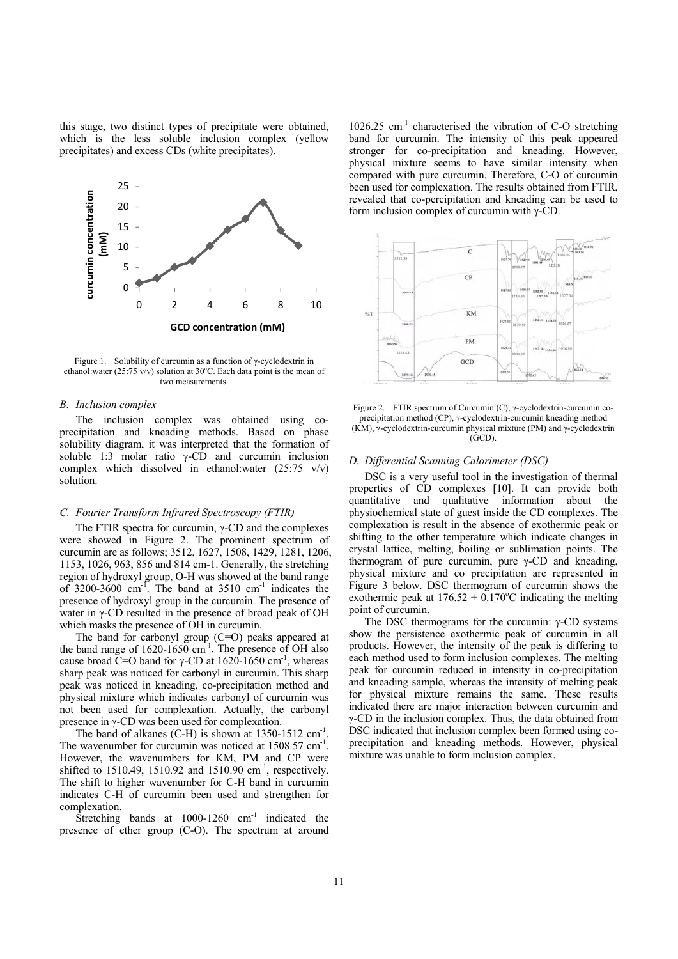this stage, two distinct types of precipitate were obtained, which is the less soluble inclusion complex (yellow precipitates) and excess CDs (white precipitates).



Figure 1. Solubility of curcumin as a function of γ-cyclodextrin in ethanol: water (25:75 v/v) solution at 30°C. Each data point is the mean of two measurements.

#### *B. Inclusion complex*

The inclusion complex was obtained using coprecipitation and kneading methods. Based on phase solubility diagram, it was interpreted that the formation of soluble 1:3 molar ratio  $\gamma$ -CD and curcumin inclusion complex which dissolved in ethanol:water  $(25:75 \text{ v/v})$ solution.

## *C. Fourier Transform Infrared Spectroscopy (FTIR)*

The FTIR spectra for curcumin,  $\gamma$ -CD and the complexes were showed in Figure 2. The prominent spectrum of curcumin are as follows; 3512, 1627, 1508, 1429, 1281, 1206, 1153, 1026, 963, 856 and 814 cm-1. Generally, the stretching region of hydroxyl group, O-H was showed at the band range of 3200-3600  $cm^{-1}$ . The band at 3510  $cm^{-1}$  indicates the presence of hydroxyl group in the curcumin. The presence of water in γ-CD resulted in the presence of broad peak of OH which masks the presence of OH in curcumin.

The band for carbonyl group (C=O) peaks appeared at the band range of  $1620-1650$  cm<sup>-1</sup>. The presence of OH also cause broad C=O band for γ-CD at 1620-1650 cm<sup>-1</sup>, whereas sharp peak was noticed for carbonyl in curcumin. This sharp peak was noticed in kneading, co-precipitation method and physical mixture which indicates carbonyl of curcumin was not been used for complexation. Actually, the carbonyl presence in γ-CD was been used for complexation.

The band of alkanes (C-H) is shown at  $1350-1512$   $cm^{-1}$ . The wavenumber for curcumin was noticed at  $1508.57$  cm<sup>-1</sup>. However, the wavenumbers for KM, PM and CP were shifted to  $1510.49$ ,  $1510.92$  and  $1510.90$  cm<sup>-1</sup>, respectively. The shift to higher wavenumber for C-H band in curcumin indicates C-H of curcumin been used and strengthen for complexation.

Stretching bands at  $1000-1260$  cm<sup>-1</sup> indicated the presence of ether group (C-O). The spectrum at around

1026.25 cm-1 characterised the vibration of C-O stretching band for curcumin. The intensity of this peak appeared stronger for co-precipitation and kneading. However, physical mixture seems to have similar intensity when compared with pure curcumin. Therefore, C-O of curcumin been used for complexation. The results obtained from FTIR, revealed that co-percipitation and kneading can be used to form inclusion complex of curcumin with  $\gamma$ -CD.



Figure 2. FTIR spectrum of Curcumin (C), γ-cyclodextrin-curcumin coprecipitation method (CP), γ-cyclodextrin-curcumin kneading method (KM), γ-cyclodextrin-curcumin physical mixture (PM) and γ-cyclodextrin (GCD).

# *D. Differential Scanning Calorimeter (DSC)*

DSC is a very useful tool in the investigation of thermal properties of CD complexes [10]. It can provide both quantitative and qualitative information about the physiochemical state of guest inside the CD complexes. The complexation is result in the absence of exothermic peak or shifting to the other temperature which indicate changes in crystal lattice, melting, boiling or sublimation points. The thermogram of pure curcumin, pure  $\gamma$ -CD and kneading, physical mixture and co precipitation are represented in Figure 3 below. DSC thermogram of curcumin shows the exothermic peak at  $176.52 \pm 0.170^{\circ}$ C indicating the melting point of curcumin.

The DSC thermograms for the curcumin:  $γ$ -CD systems show the persistence exothermic peak of curcumin in all products. However, the intensity of the peak is differing to each method used to form inclusion complexes. The melting peak for curcumin reduced in intensity in co-precipitation and kneading sample, whereas the intensity of melting peak for physical mixture remains the same. These results indicated there are major interaction between curcumin and γ-CD in the inclusion complex. Thus, the data obtained from DSC indicated that inclusion complex been formed using coprecipitation and kneading methods. However, physical mixture was unable to form inclusion complex.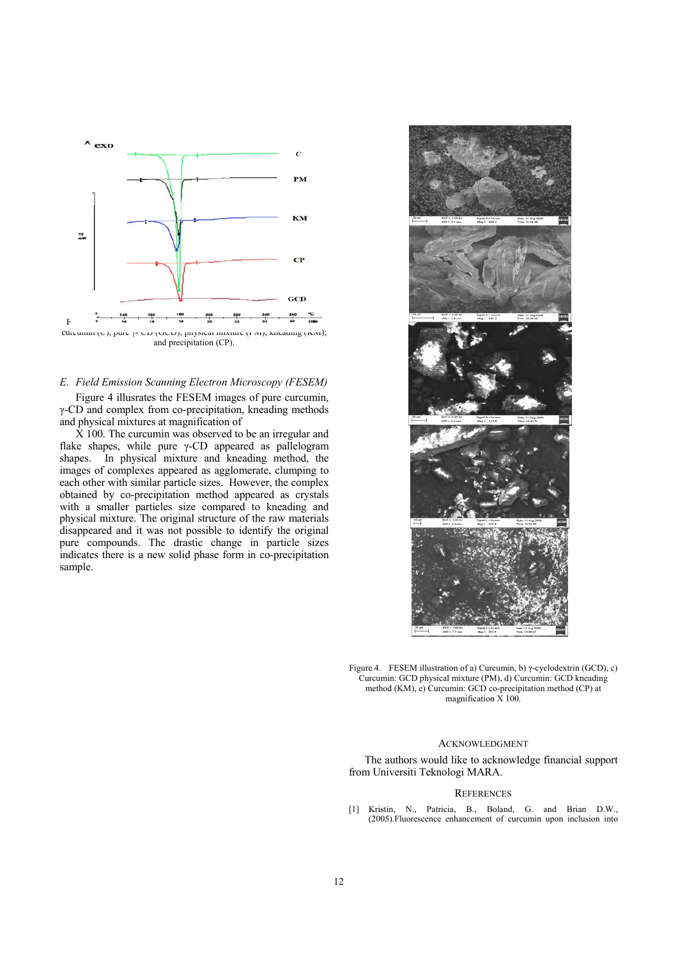

# *E. Field Emission Scanning Electron Microscopy (FESEM)*

Figure 4 illusrates the FESEM images of pure curcumin, γ-CD and complex from co-precipitation, kneading methods and physical mixtures at magnification of

X 100. The curcumin was observed to be an irregular and flake shapes, while pure γ-CD appeared as pallelogram shapes. In physical mixture and kneading method, the images of complexes appeared as agglomerate, clumping to each other with similar particle sizes. However, the complex obtained by co-precipitation method appeared as crystals with a smaller particles size compared to kneading and physical mixture. The original structure of the raw materials disappeared and it was not possible to identify the original pure compounds. The drastic change in particle sizes indicates there is a new solid phase form in co-precipitation sample.



Figure 4. FESEM illustration of a) Curcumin, b) γ-cyclodextrin (GCD), c) Curcumin: GCD physical mixture (PM), d) Curcumin: GCD kneading method (KM), e) Curcumin: GCD co-precipitation method (CP) at magnification X 100.

## ACKNOWLEDGMENT

The authors would like to acknowledge financial support from Universiti Teknologi MARA.

## **REFERENCES**

[1] Kristin, N., Patricia, B., Boland, G. and Brian D.W., (2005).Fluorescence enhancement of curcumin upon inclusion into